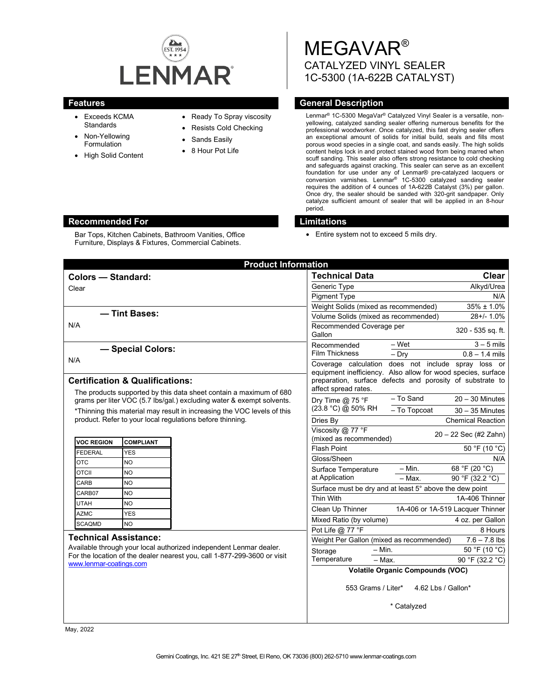

Bar Tops, Kitchen Cabinets, Bathroom Vanities, Office Furniture, Displays & Fixtures, Commercial Cabinets.

- Exceeds KCMA **Standards**
- Non-Yellowing Formulation
- High Solid Content
- Ready To Spray viscosity
- Resists Cold Checking
- Sands Easily
- 8 Hour Pot Life

# MEGAVAR® CATALYZED VINYL SEALER 1C-5300 (1A-622B CATALYST)

## **Features Features General Description**

Lenmar® 1C-5300 MegaVar® Catalyzed Vinyl Sealer is a versatile, nonyellowing, catalyzed sanding sealer offering numerous benefits for the professional woodworker. Once catalyzed, this fast drying sealer offers an exceptional amount of solids for initial build, seals and fills most porous wood species in a single coat, and sands easily. The high solids content helps lock in and protect stained wood from being marred when scuff sanding. This sealer also offers strong resistance to cold checking and safeguards against cracking. This sealer can serve as an excellent foundation for use under any of Lenmar® pre-catalyzed lacquers or conversion varnishes. Lenmar® 1C-5300 catalyzed sanding sealer requires the addition of 4 ounces of 1A-622B Catalyst (3%) per gallon. Once dry, the sealer should be sanded with 320-grit sandpaper. Only catalyze sufficient amount of sealer that will be applied in an 8-hour period.

#### **Recommended For Limitations**

• Entire system not to exceed 5 mils dry.

| <b>Product Information</b>                                                                                                                                                                                |            |                                          |                                                                                                                                                                                                          |                          |                                  |
|-----------------------------------------------------------------------------------------------------------------------------------------------------------------------------------------------------------|------------|------------------------------------------|----------------------------------------------------------------------------------------------------------------------------------------------------------------------------------------------------------|--------------------------|----------------------------------|
| <b>Colors - Standard:</b>                                                                                                                                                                                 |            |                                          | <b>Technical Data</b>                                                                                                                                                                                    |                          | <b>Clear</b>                     |
| Clear                                                                                                                                                                                                     |            |                                          | Generic Type                                                                                                                                                                                             |                          | Alkyd/Urea                       |
|                                                                                                                                                                                                           |            |                                          | <b>Pigment Type</b>                                                                                                                                                                                      |                          | N/A                              |
|                                                                                                                                                                                                           |            |                                          | Weight Solids (mixed as recommended)                                                                                                                                                                     |                          | $35\% \pm 1.0\%$                 |
| - Tint Bases:<br>N/A                                                                                                                                                                                      |            |                                          | Volume Solids (mixed as recommended)                                                                                                                                                                     |                          | $28 + 1.0%$                      |
|                                                                                                                                                                                                           |            |                                          | Recommended Coverage per<br>Gallon                                                                                                                                                                       |                          | 320 - 535 sq. ft.                |
| - Special Colors:                                                                                                                                                                                         |            |                                          | Recommended                                                                                                                                                                                              | $-$ Wet                  | $3 - 5$ mils                     |
| N/A                                                                                                                                                                                                       |            |                                          | <b>Film Thickness</b>                                                                                                                                                                                    | $-$ Dry                  | $0.8 - 1.4$ mils                 |
|                                                                                                                                                                                                           |            |                                          | Coverage calculation does not include spray loss or<br>equipment inefficiency. Also allow for wood species, surface<br>preparation, surface defects and porosity of substrate to<br>affect spread rates. |                          |                                  |
|                                                                                                                                                                                                           |            |                                          |                                                                                                                                                                                                          |                          |                                  |
| <b>Certification &amp; Qualifications:</b>                                                                                                                                                                |            |                                          |                                                                                                                                                                                                          |                          |                                  |
| The products supported by this data sheet contain a maximum of 680<br>grams per liter VOC (5.7 lbs/gal.) excluding water & exempt solvents.                                                               |            | Dry Time $@$ 75 °F<br>(23.8 °C) @ 50% RH | - To Sand                                                                                                                                                                                                | $20 - 30$ Minutes        |                                  |
| *Thinning this material may result in increasing the VOC levels of this<br>product. Refer to your local regulations before thinning.                                                                      |            |                                          | - To Topcoat                                                                                                                                                                                             | $30 - 35$ Minutes        |                                  |
|                                                                                                                                                                                                           |            | Dries By                                 |                                                                                                                                                                                                          | <b>Chemical Reaction</b> |                                  |
| <b>VOC REGION</b><br><b>COMPLIANT</b>                                                                                                                                                                     |            |                                          | Viscosity @ 77 °F<br>20 - 22 Sec (#2 Zahn)<br>(mixed as recommended)                                                                                                                                     |                          |                                  |
| <b>FEDERAL</b>                                                                                                                                                                                            | <b>YES</b> |                                          | <b>Flash Point</b>                                                                                                                                                                                       |                          | 50 °F (10 °C)                    |
| <b>OTC</b>                                                                                                                                                                                                | <b>NO</b>  |                                          | Gloss/Sheen                                                                                                                                                                                              |                          | N/A                              |
| <b>OTCII</b>                                                                                                                                                                                              | <b>NO</b>  |                                          | Surface Temperature                                                                                                                                                                                      | $- Min.$                 | 68 °F (20 °C)                    |
| CARB                                                                                                                                                                                                      | <b>NO</b>  |                                          | at Application                                                                                                                                                                                           | $-$ Max.                 | 90 °F (32.2 °C)                  |
| CARB07                                                                                                                                                                                                    | <b>NO</b>  |                                          | Surface must be dry and at least 5° above the dew point                                                                                                                                                  |                          |                                  |
| <b>UTAH</b>                                                                                                                                                                                               | <b>NO</b>  |                                          | Thin With                                                                                                                                                                                                |                          | 1A-406 Thinner                   |
| <b>AZMC</b>                                                                                                                                                                                               | <b>YES</b> |                                          | Clean Up Thinner                                                                                                                                                                                         |                          | 1A-406 or 1A-519 Lacquer Thinner |
| <b>SCAQMD</b>                                                                                                                                                                                             | <b>NO</b>  |                                          | Mixed Ratio (by volume)                                                                                                                                                                                  |                          | 4 oz. per Gallon                 |
|                                                                                                                                                                                                           |            |                                          | Pot Life @ 77 °F                                                                                                                                                                                         |                          | 8 Hours                          |
| <b>Technical Assistance:</b><br>Available through your local authorized independent Lenmar dealer.<br>For the location of the dealer nearest you, call 1-877-299-3600 or visit<br>www.lenmar-coatings.com |            |                                          | Weight Per Gallon (mixed as recommended)<br>$7.6 - 7.8$ lbs                                                                                                                                              |                          |                                  |
|                                                                                                                                                                                                           |            |                                          | Storage                                                                                                                                                                                                  | $- Min.$                 | 50 °F (10 °C)                    |
|                                                                                                                                                                                                           |            |                                          | Temperature                                                                                                                                                                                              | $-$ Max.                 | 90 °F (32.2 °C)                  |
|                                                                                                                                                                                                           |            |                                          | <b>Volatile Organic Compounds (VOC)</b>                                                                                                                                                                  |                          |                                  |
|                                                                                                                                                                                                           |            |                                          | 553 Grams / Liter*<br>4.62 Lbs / Gallon*                                                                                                                                                                 |                          |                                  |
|                                                                                                                                                                                                           |            |                                          | * Catalyzed                                                                                                                                                                                              |                          |                                  |

May, 2022